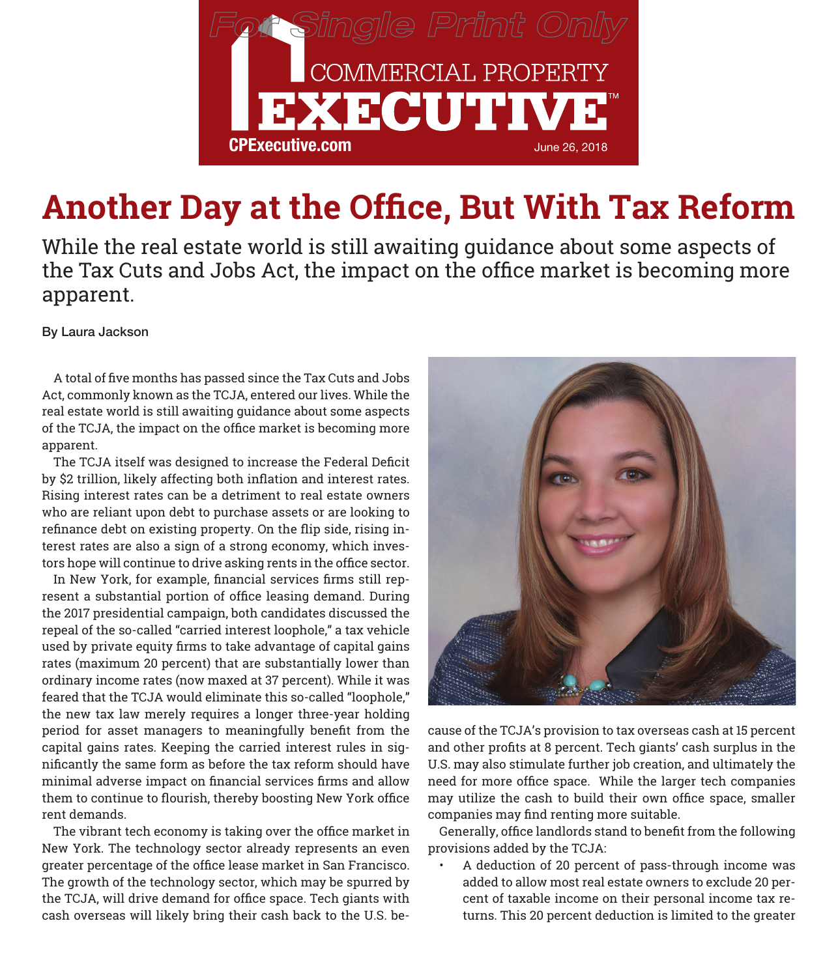

## **Another Day at the Office, But With Tax Reform**

While the real estate world is still awaiting guidance about some aspects of the Tax Cuts and Jobs Act, the impact on the office market is becoming more apparent.

By Laura Jackson

A total of five months has passed since the Tax Cuts and Jobs Act, commonly known as the TCJA, entered our lives. While the real estate world is still awaiting guidance about some aspects of the TCJA, the impact on the office market is becoming more apparent.

The TCJA itself was designed to increase the Federal Deficit by \$2 trillion, likely affecting both inflation and interest rates. Rising interest rates can be a detriment to real estate owners who are reliant upon debt to purchase assets or are looking to refinance debt on existing property. On the flip side, rising interest rates are also a sign of a strong economy, which investors hope will continue to drive asking rents in the office sector.

In New York, for example, financial services firms still represent a substantial portion of office leasing demand. During the 2017 presidential campaign, both candidates discussed the repeal of the so-called "carried interest loophole," a tax vehicle used by private equity firms to take advantage of capital gains rates (maximum 20 percent) that are substantially lower than ordinary income rates (now maxed at 37 percent). While it was feared that the TCJA would eliminate this so-called "loophole," the new tax law merely requires a longer three-year holding period for asset managers to meaningfully benefit from the capital gains rates. Keeping the carried interest rules in significantly the same form as before the tax reform should have minimal adverse impact on financial services firms and allow them to continue to flourish, thereby boosting New York office rent demands.

The vibrant tech economy is taking over the office market in New York. The technology sector already represents an even greater percentage of the office lease market in San Francisco. The growth of the technology sector, which may be spurred by the TCJA, will drive demand for office space. Tech giants with cash overseas will likely bring their cash back to the U.S. be-



cause of the TCJA's provision to tax overseas cash at 15 percent and other profits at 8 percent. Tech giants' cash surplus in the U.S. may also stimulate further job creation, and ultimately the need for more office space. While the larger tech companies may utilize the cash to build their own office space, smaller companies may find renting more suitable.

Generally, office landlords stand to benefit from the following provisions added by the TCJA:

• A deduction of 20 percent of pass-through income was added to allow most real estate owners to exclude 20 percent of taxable income on their personal income tax returns. This 20 percent deduction is limited to the greater